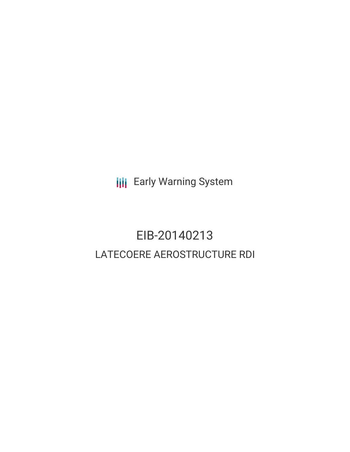**III** Early Warning System

# EIB-20140213 LATECOERE AEROSTRUCTURE RDI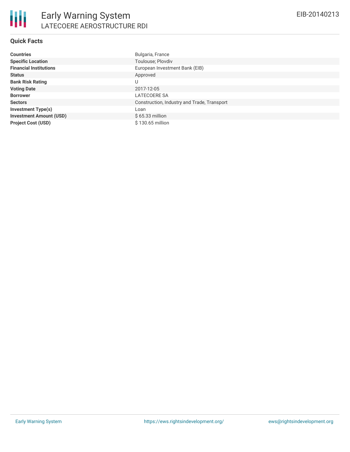| Countries                      | Bulgaria, France                            |
|--------------------------------|---------------------------------------------|
| <b>Specific Location</b>       | Toulouse; Plovdiv                           |
| <b>Financial Institutions</b>  | European Investment Bank (EIB)              |
| Status                         | Approved                                    |
| <b>Bank Risk Rating</b>        | U                                           |
| <b>Voting Date</b>             | 2017-12-05                                  |
| <b>Borrower</b>                | LATECOERE SA                                |
| <b>Sectors</b>                 | Construction, Industry and Trade, Transport |
| Investment Type(s)             | Loan                                        |
| <b>Investment Amount (USD)</b> | $$65.33$ million                            |
| <b>Project Cost (USD)</b>      | $$130.65$ million                           |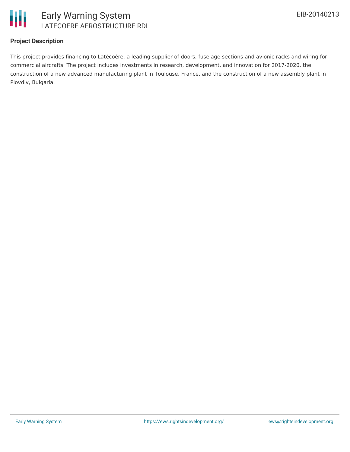

#### **Project Description**

This project provides financing to Latécoère, a leading supplier of doors, fuselage sections and avionic racks and wiring for commercial aircrafts. The project includes investments in research, development, and innovation for 2017-2020, the construction of a new advanced manufacturing plant in Toulouse, France, and the construction of a new assembly plant in Plovdiv, Bulgaria.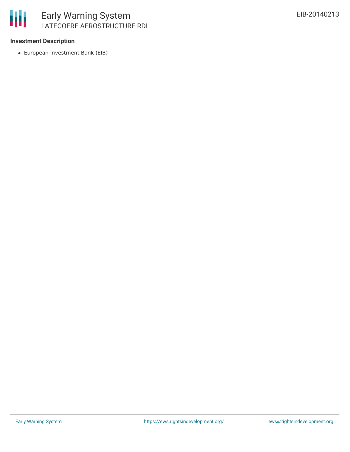

#### **Investment Description**

European Investment Bank (EIB)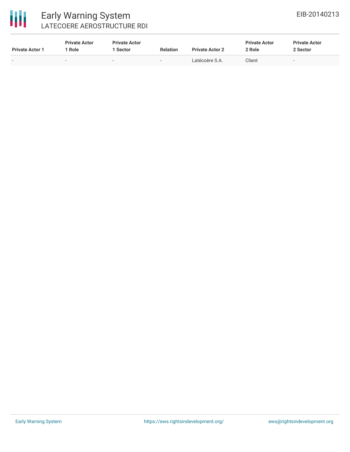

### Early Warning System LATECOERE AEROSTRUCTURE RDI

| <b>Private Actor 1</b>   | <b>Private Actor</b><br>Role | <b>Private Actor</b><br>Sector | <b>Relation</b>          | <b>Private Actor 2</b> | <b>Private Actor</b><br>2 Role | <b>Private Actor</b><br>2 Sector |
|--------------------------|------------------------------|--------------------------------|--------------------------|------------------------|--------------------------------|----------------------------------|
| $\overline{\phantom{0}}$ |                              | $\sim$                         | $\overline{\phantom{0}}$ | Latécoère S.A.         | Client                         | $\overline{\phantom{a}}$         |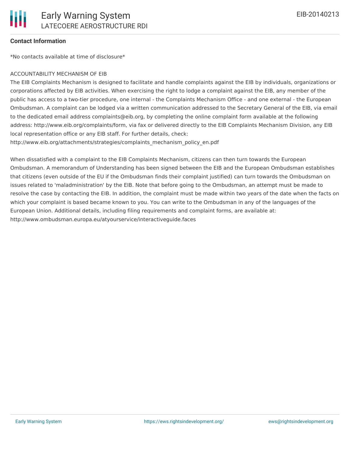#### **Contact Information**

\*No contacts available at time of disclosure\*

#### ACCOUNTABILITY MECHANISM OF EIB

The EIB Complaints Mechanism is designed to facilitate and handle complaints against the EIB by individuals, organizations or corporations affected by EIB activities. When exercising the right to lodge a complaint against the EIB, any member of the public has access to a two-tier procedure, one internal - the Complaints Mechanism Office - and one external - the European Ombudsman. A complaint can be lodged via a written communication addressed to the Secretary General of the EIB, via email to the dedicated email address complaints@eib.org, by completing the online complaint form available at the following address: http://www.eib.org/complaints/form, via fax or delivered directly to the EIB Complaints Mechanism Division, any EIB local representation office or any EIB staff. For further details, check:

http://www.eib.org/attachments/strategies/complaints\_mechanism\_policy\_en.pdf

When dissatisfied with a complaint to the EIB Complaints Mechanism, citizens can then turn towards the European Ombudsman. A memorandum of Understanding has been signed between the EIB and the European Ombudsman establishes that citizens (even outside of the EU if the Ombudsman finds their complaint justified) can turn towards the Ombudsman on issues related to 'maladministration' by the EIB. Note that before going to the Ombudsman, an attempt must be made to resolve the case by contacting the EIB. In addition, the complaint must be made within two years of the date when the facts on which your complaint is based became known to you. You can write to the Ombudsman in any of the languages of the European Union. Additional details, including filing requirements and complaint forms, are available at: http://www.ombudsman.europa.eu/atyourservice/interactiveguide.faces